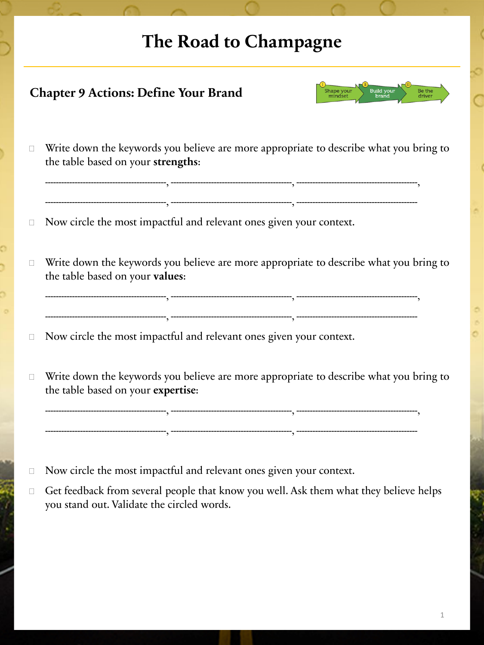## **The Road to Champagne**

| Build your<br>brand<br>Shape your<br>mindset<br>Be the<br><b>Chapter 9 Actions: Define Your Brand</b> |                                                                                                                              |
|-------------------------------------------------------------------------------------------------------|------------------------------------------------------------------------------------------------------------------------------|
| П                                                                                                     | Write down the keywords you believe are more appropriate to describe what you bring to<br>the table based on your strengths: |
| □                                                                                                     | Now circle the most impactful and relevant ones given your context.                                                          |
| $\Box$                                                                                                | Write down the keywords you believe are more appropriate to describe what you bring to<br>the table based on your values:    |
| $\Box$                                                                                                | Now circle the most impactful and relevant ones given your context.                                                          |
| □                                                                                                     | Write down the keywords you believe are more appropriate to describe what you bring to<br>the table based on your expertise: |
|                                                                                                       |                                                                                                                              |

Get feedback from several people that know you well. Ask them what they believe helps you stand out. Validate the circled words.

Now circle the most impactful and relevant ones given your context.

1